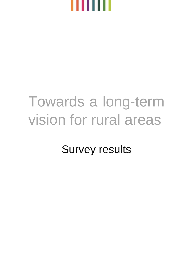

## Towards a long-term vision for rural areas

Survey results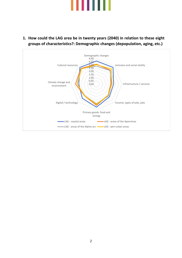



**1. How could the LAG area be in twenty years (2040) in relation to these eight groups of characteristics?: Demographic changes (depopulation, aging, etc.)**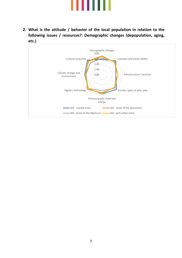

**2. What is the attitude / behavior of the local population in relation to the following issues / resources?: Demographic changes (depopulation, aging, etc.)**

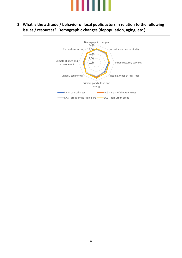

**3. What is the attitude / behavior of local public actors in relation to the following issues / resources?: Demographic changes (depopulation, aging, etc.)**

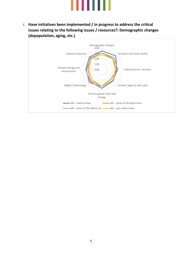

1. **Have initiatives been implemented / in progress to address the critical issues relating to the following issues / resources?: Demographic changes (depopulation, aging, etc.)**